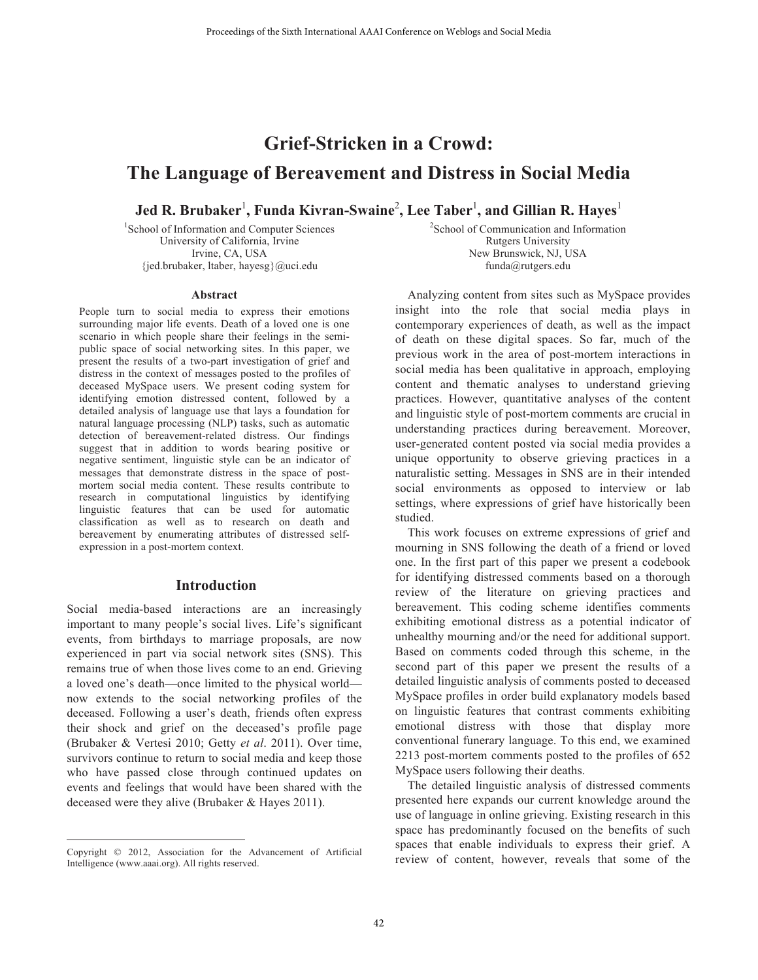# **Grief-Stricken in a Crowd: The Language of Bereavement and Distress in Social Media**

 ${\bf J}$ ed **R. Brubaker** $^1$ **, Funda Kivran-Swaine** $^2$ **, Lee Taber** $^1$ **, and Gillian <b>R.** Hayes $^1$ 

1 School of Information and Computer Sciences University of California, Irvine Irvine, CA, USA {jed.brubaker, ltaber, hayesg}@uci.edu

2 School of Communication and Information Rutgers University New Brunswick, NJ, USA funda@rutgers.edu

#### **Abstract**

People turn to social media to express their emotions surrounding major life events. Death of a loved one is one scenario in which people share their feelings in the semipublic space of social networking sites. In this paper, we present the results of a two-part investigation of grief and distress in the context of messages posted to the profiles of deceased MySpace users. We present coding system for identifying emotion distressed content, followed by a detailed analysis of language use that lays a foundation for natural language processing (NLP) tasks, such as automatic detection of bereavement-related distress. Our findings suggest that in addition to words bearing positive or negative sentiment, linguistic style can be an indicator of messages that demonstrate distress in the space of postmortem social media content. These results contribute to research in computational linguistics by identifying linguistic features that can be used for automatic classification as well as to research on death and bereavement by enumerating attributes of distressed selfexpression in a post-mortem context.

## **Introduction**

Social media-based interactions are an increasingly important to many people's social lives. Life's significant events, from birthdays to marriage proposals, are now experienced in part via social network sites (SNS). This remains true of when those lives come to an end. Grieving a loved one's death—once limited to the physical world now extends to the social networking profiles of the deceased. Following a user's death, friends often express their shock and grief on the deceased's profile page (Brubaker & Vertesi 2010; Getty *et al*. 2011). Over time, survivors continue to return to social media and keep those who have passed close through continued updates on events and feelings that would have been shared with the deceased were they alive (Brubaker & Hayes 2011).

 $\overline{a}$ 

Analyzing content from sites such as MySpace provides insight into the role that social media plays in contemporary experiences of death, as well as the impact of death on these digital spaces. So far, much of the previous work in the area of post-mortem interactions in social media has been qualitative in approach, employing content and thematic analyses to understand grieving practices. However, quantitative analyses of the content and linguistic style of post-mortem comments are crucial in understanding practices during bereavement. Moreover, user-generated content posted via social media provides a unique opportunity to observe grieving practices in a naturalistic setting. Messages in SNS are in their intended social environments as opposed to interview or lab settings, where expressions of grief have historically been studied.

This work focuses on extreme expressions of grief and mourning in SNS following the death of a friend or loved one. In the first part of this paper we present a codebook for identifying distressed comments based on a thorough review of the literature on grieving practices and bereavement. This coding scheme identifies comments exhibiting emotional distress as a potential indicator of unhealthy mourning and/or the need for additional support. Based on comments coded through this scheme, in the second part of this paper we present the results of a detailed linguistic analysis of comments posted to deceased MySpace profiles in order build explanatory models based on linguistic features that contrast comments exhibiting emotional distress with those that display more conventional funerary language. To this end, we examined 2213 post-mortem comments posted to the profiles of 652 MySpace users following their deaths. Froeedings of the Sixth International AAAI Conference on Weblogs and Social Media<br> **Civic Conference on System System Section 3. Except The Conference on Conference on Conference on Conference on Conference** of Confer

The detailed linguistic analysis of distressed comments presented here expands our current knowledge around the use of language in online grieving. Existing research in this space has predominantly focused on the benefits of such spaces that enable individuals to express their grief. A review of content, however, reveals that some of the

Copyright © 2012, Association for the Advancement of Artificial Intelligence (www.aaai.org). All rights reserved.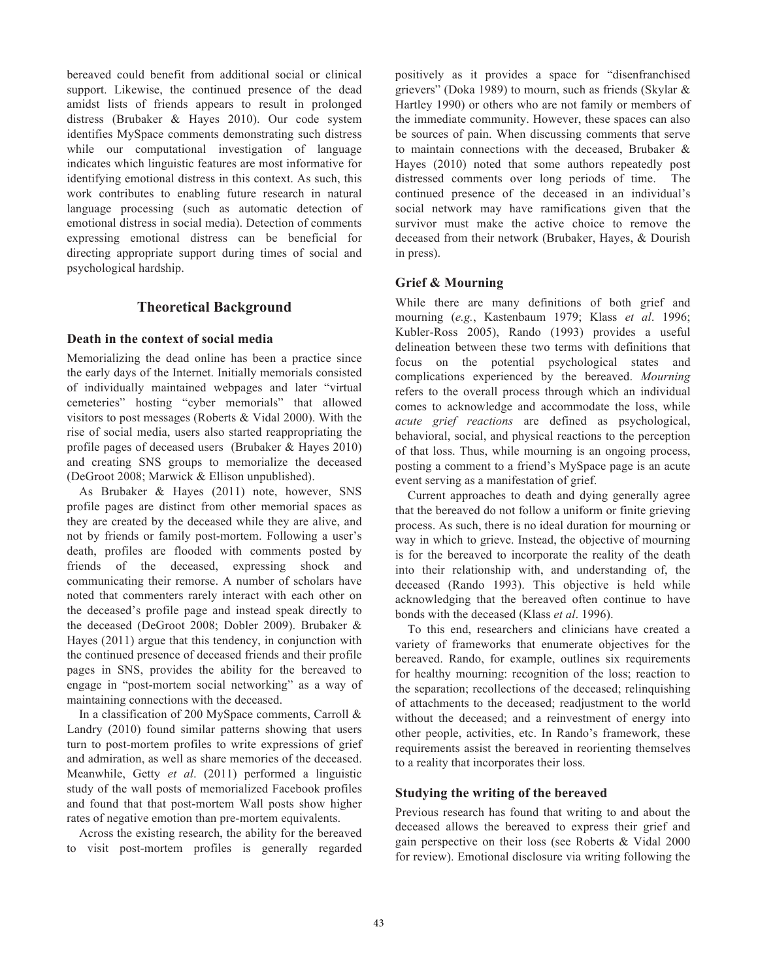bereaved could benefit from additional social or clinical support. Likewise, the continued presence of the dead amidst lists of friends appears to result in prolonged distress (Brubaker & Hayes 2010). Our code system identifies MySpace comments demonstrating such distress while our computational investigation of language indicates which linguistic features are most informative for identifying emotional distress in this context. As such, this work contributes to enabling future research in natural language processing (such as automatic detection of emotional distress in social media). Detection of comments expressing emotional distress can be beneficial for directing appropriate support during times of social and psychological hardship.

# **Theoretical Background**

#### **Death in the context of social media**

Memorializing the dead online has been a practice since the early days of the Internet. Initially memorials consisted of individually maintained webpages and later "virtual cemeteries" hosting "cyber memorials" that allowed visitors to post messages (Roberts & Vidal 2000). With the rise of social media, users also started reappropriating the profile pages of deceased users (Brubaker & Hayes 2010) and creating SNS groups to memorialize the deceased (DeGroot 2008; Marwick & Ellison unpublished).

As Brubaker & Hayes (2011) note, however, SNS profile pages are distinct from other memorial spaces as they are created by the deceased while they are alive, and not by friends or family post-mortem. Following a user's death, profiles are flooded with comments posted by friends of the deceased, expressing shock and communicating their remorse. A number of scholars have noted that commenters rarely interact with each other on the deceased's profile page and instead speak directly to the deceased (DeGroot 2008; Dobler 2009). Brubaker & Hayes (2011) argue that this tendency, in conjunction with the continued presence of deceased friends and their profile pages in SNS, provides the ability for the bereaved to engage in "post-mortem social networking" as a way of maintaining connections with the deceased.

In a classification of 200 MySpace comments, Carroll & Landry (2010) found similar patterns showing that users turn to post-mortem profiles to write expressions of grief and admiration, as well as share memories of the deceased. Meanwhile, Getty *et al*. (2011) performed a linguistic study of the wall posts of memorialized Facebook profiles and found that that post-mortem Wall posts show higher rates of negative emotion than pre-mortem equivalents.

Across the existing research, the ability for the bereaved to visit post-mortem profiles is generally regarded positively as it provides a space for "disenfranchised grievers" (Doka 1989) to mourn, such as friends (Skylar & Hartley 1990) or others who are not family or members of the immediate community. However, these spaces can also be sources of pain. When discussing comments that serve to maintain connections with the deceased, Brubaker & Hayes (2010) noted that some authors repeatedly post distressed comments over long periods of time. The continued presence of the deceased in an individual's social network may have ramifications given that the survivor must make the active choice to remove the deceased from their network (Brubaker, Hayes, & Dourish in press).

## **Grief & Mourning**

While there are many definitions of both grief and mourning (*e.g.*, Kastenbaum 1979; Klass *et al*. 1996; Kubler-Ross 2005), Rando (1993) provides a useful delineation between these two terms with definitions that focus on the potential psychological states and complications experienced by the bereaved. *Mourning* refers to the overall process through which an individual comes to acknowledge and accommodate the loss, while *acute grief reactions* are defined as psychological, behavioral, social, and physical reactions to the perception of that loss. Thus, while mourning is an ongoing process, posting a comment to a friend's MySpace page is an acute event serving as a manifestation of grief.

Current approaches to death and dying generally agree that the bereaved do not follow a uniform or finite grieving process. As such, there is no ideal duration for mourning or way in which to grieve. Instead, the objective of mourning is for the bereaved to incorporate the reality of the death into their relationship with, and understanding of, the deceased (Rando 1993). This objective is held while acknowledging that the bereaved often continue to have bonds with the deceased (Klass *et al*. 1996).

To this end, researchers and clinicians have created a variety of frameworks that enumerate objectives for the bereaved. Rando, for example, outlines six requirements for healthy mourning: recognition of the loss; reaction to the separation; recollections of the deceased; relinquishing of attachments to the deceased; readjustment to the world without the deceased; and a reinvestment of energy into other people, activities, etc. In Rando's framework, these requirements assist the bereaved in reorienting themselves to a reality that incorporates their loss.

## **Studying the writing of the bereaved**

Previous research has found that writing to and about the deceased allows the bereaved to express their grief and gain perspective on their loss (see Roberts & Vidal 2000 for review). Emotional disclosure via writing following the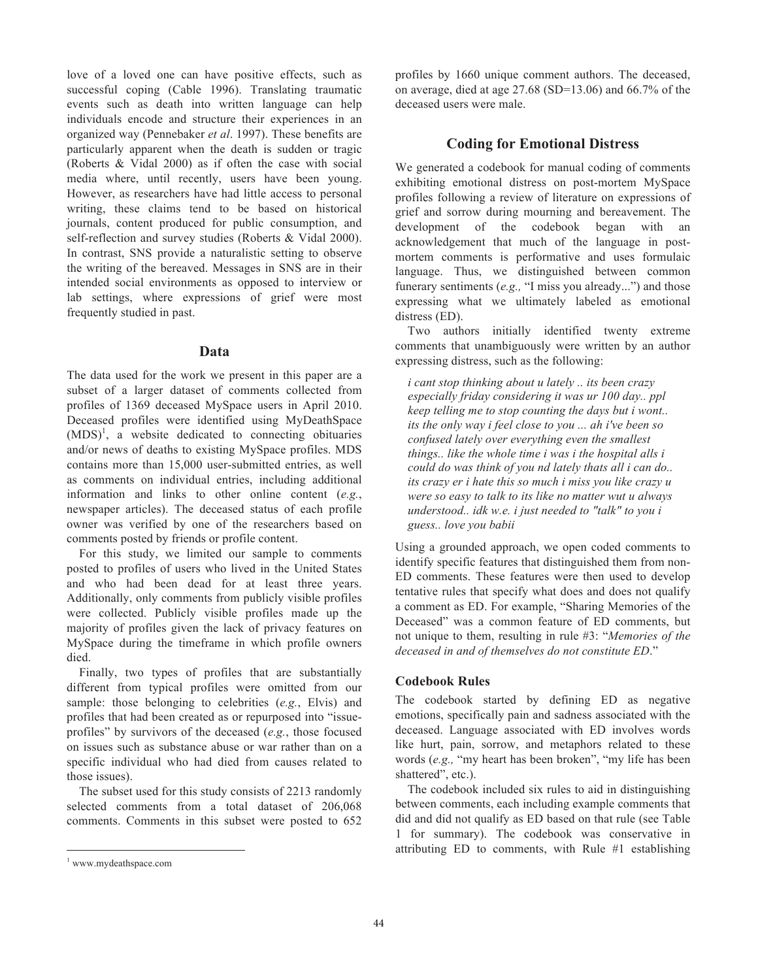love of a loved one can have positive effects, such as successful coping (Cable 1996). Translating traumatic events such as death into written language can help individuals encode and structure their experiences in an organized way (Pennebaker *et al*. 1997). These benefits are particularly apparent when the death is sudden or tragic (Roberts & Vidal 2000) as if often the case with social media where, until recently, users have been young. However, as researchers have had little access to personal writing, these claims tend to be based on historical journals, content produced for public consumption, and self-reflection and survey studies (Roberts & Vidal 2000). In contrast, SNS provide a naturalistic setting to observe the writing of the bereaved. Messages in SNS are in their intended social environments as opposed to interview or lab settings, where expressions of grief were most frequently studied in past.

## **Data**

The data used for the work we present in this paper are a subset of a larger dataset of comments collected from profiles of 1369 deceased MySpace users in April 2010. Deceased profiles were identified using MyDeathSpace  $(MDS)^1$ , a website dedicated to connecting obituaries and/or news of deaths to existing MySpace profiles. MDS contains more than 15,000 user-submitted entries, as well as comments on individual entries, including additional information and links to other online content (*e.g.*, newspaper articles). The deceased status of each profile owner was verified by one of the researchers based on comments posted by friends or profile content.

For this study, we limited our sample to comments posted to profiles of users who lived in the United States and who had been dead for at least three years. Additionally, only comments from publicly visible profiles were collected. Publicly visible profiles made up the majority of profiles given the lack of privacy features on MySpace during the timeframe in which profile owners died.

Finally, two types of profiles that are substantially different from typical profiles were omitted from our sample: those belonging to celebrities (*e.g.*, Elvis) and profiles that had been created as or repurposed into "issueprofiles" by survivors of the deceased (*e.g.*, those focused on issues such as substance abuse or war rather than on a specific individual who had died from causes related to those issues).

The subset used for this study consists of 2213 randomly selected comments from a total dataset of 206,068 comments. Comments in this subset were posted to 652

 $\overline{a}$ 

profiles by 1660 unique comment authors. The deceased, on average, died at age 27.68 (SD=13.06) and 66.7% of the deceased users were male.

# **Coding for Emotional Distress**

We generated a codebook for manual coding of comments exhibiting emotional distress on post-mortem MySpace profiles following a review of literature on expressions of grief and sorrow during mourning and bereavement. The development of the codebook began with an acknowledgement that much of the language in postmortem comments is performative and uses formulaic language. Thus, we distinguished between common funerary sentiments (*e.g.,* "I miss you already...") and those expressing what we ultimately labeled as emotional distress (ED).

Two authors initially identified twenty extreme comments that unambiguously were written by an author expressing distress, such as the following:

*i cant stop thinking about u lately .. its been crazy especially friday considering it was ur 100 day.. ppl keep telling me to stop counting the days but i wont.. its the only way i feel close to you ... ah i've been so confused lately over everything even the smallest things.. like the whole time i was i the hospital alls i could do was think of you nd lately thats all i can do.. its crazy er i hate this so much i miss you like crazy u were so easy to talk to its like no matter wut u always understood.. idk w.e. i just needed to "talk" to you i guess.. love you babii*

Using a grounded approach, we open coded comments to identify specific features that distinguished them from non-ED comments. These features were then used to develop tentative rules that specify what does and does not qualify a comment as ED. For example, "Sharing Memories of the Deceased" was a common feature of ED comments, but not unique to them, resulting in rule #3: "*Memories of the deceased in and of themselves do not constitute ED*."

## **Codebook Rules**

The codebook started by defining ED as negative emotions, specifically pain and sadness associated with the deceased. Language associated with ED involves words like hurt, pain, sorrow, and metaphors related to these words (*e.g.,* "my heart has been broken", "my life has been shattered", etc.).

The codebook included six rules to aid in distinguishing between comments, each including example comments that did and did not qualify as ED based on that rule (see Table 1 for summary). The codebook was conservative in attributing ED to comments, with Rule #1 establishing

<sup>1</sup> www.mydeathspace.com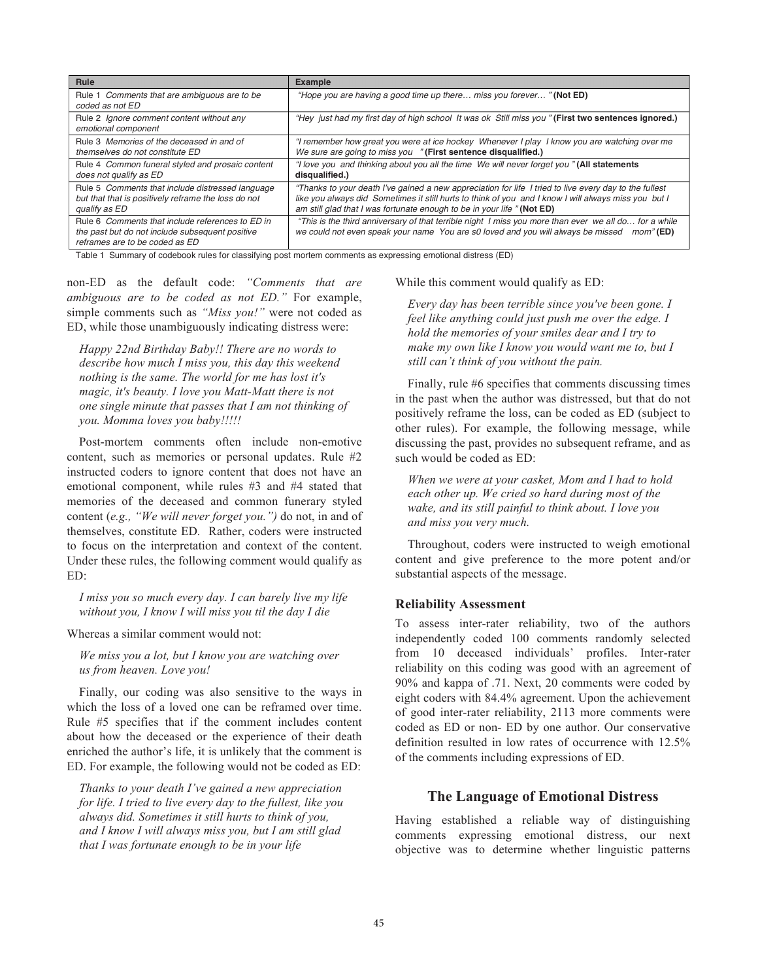| Rule                                                             | <b>Example</b>                                                                                         |
|------------------------------------------------------------------|--------------------------------------------------------------------------------------------------------|
| Rule 1 Comments that are ambiguous are to be<br>coded as not ED  | "Hope you are having a good time up there miss you forever" (Not ED)                                   |
| Rule 2 Ignore comment content without any<br>emotional component | "Hey just had my first day of high school It was ok Still miss you "(First two sentences ignored.)     |
| Rule 3 Memories of the deceased in and of                        | "I remember how great you were at ice hockey Whenever I play I know you are watching over me           |
| themselves do not constitute ED                                  | We sure are going to miss you "(First sentence disqualified.)                                          |
| Rule 4 Common funeral styled and prosaic content                 | "I love you and thinking about you all the time We will never forget you "(All statements              |
| does not qualify as ED                                           | disqualified.)                                                                                         |
| Rule 5 Comments that include distressed language                 | "Thanks to your death I've gained a new appreciation for life I tried to live every day to the fullest |
| but that that is positively reframe the loss do not              | like you always did Sometimes it still hurts to think of you and I know I will always miss you but I   |
| qualify as ED                                                    | am still glad that I was fortunate enough to be in your life "(Not ED)                                 |
| Rule 6 Comments that include references to ED in                 | "This is the third anniversary of that terrible night I miss you more than ever we all do for a while  |
| the past but do not include subsequent positive                  | we could not even speak your name You are s0 loved and you will always be missed                       |
| reframes are to be coded as ED                                   | $mom$ " (ED)                                                                                           |

Table 1 Summary of codebook rules for classifying post mortem comments as expressing emotional distress (ED)

non-ED as the default code: *"Comments that are ambiguous are to be coded as not ED."* For example, simple comments such as *"Miss you!"* were not coded as ED, while those unambiguously indicating distress were:

*Happy 22nd Birthday Baby!! There are no words to describe how much I miss you, this day this weekend nothing is the same. The world for me has lost it's magic, it's beauty. I love you Matt-Matt there is not one single minute that passes that I am not thinking of you. Momma loves you baby!!!!!*

Post-mortem comments often include non-emotive content, such as memories or personal updates. Rule #2 instructed coders to ignore content that does not have an emotional component, while rules #3 and #4 stated that memories of the deceased and common funerary styled content (*e.g., "We will never forget you.")* do not, in and of themselves, constitute ED*.* Rather, coders were instructed to focus on the interpretation and context of the content. Under these rules, the following comment would qualify as ED:

*I miss you so much every day. I can barely live my life without you, I know I will miss you til the day I die*

Whereas a similar comment would not:

*We miss you a lot, but I know you are watching over us from heaven. Love you!*

Finally, our coding was also sensitive to the ways in which the loss of a loved one can be reframed over time. Rule #5 specifies that if the comment includes content about how the deceased or the experience of their death enriched the author's life, it is unlikely that the comment is ED. For example, the following would not be coded as ED:

*Thanks to your death I've gained a new appreciation for life. I tried to live every day to the fullest, like you always did. Sometimes it still hurts to think of you, and I know I will always miss you, but I am still glad that I was fortunate enough to be in your life*

While this comment would qualify as ED:

*Every day has been terrible since you've been gone. I feel like anything could just push me over the edge. I hold the memories of your smiles dear and I try to make my own like I know you would want me to, but I still can't think of you without the pain.*

Finally, rule #6 specifies that comments discussing times in the past when the author was distressed, but that do not positively reframe the loss, can be coded as ED (subject to other rules). For example, the following message, while discussing the past, provides no subsequent reframe, and as such would be coded as ED:

*When we were at your casket, Mom and I had to hold each other up. We cried so hard during most of the wake, and its still painful to think about. I love you and miss you very much.*

Throughout, coders were instructed to weigh emotional content and give preference to the more potent and/or substantial aspects of the message.

#### **Reliability Assessment**

To assess inter-rater reliability, two of the authors independently coded 100 comments randomly selected from 10 deceased individuals' profiles. Inter-rater reliability on this coding was good with an agreement of 90% and kappa of .71. Next, 20 comments were coded by eight coders with 84.4% agreement. Upon the achievement of good inter-rater reliability, 2113 more comments were coded as ED or non- ED by one author. Our conservative definition resulted in low rates of occurrence with 12.5% of the comments including expressions of ED.

## **The Language of Emotional Distress**

Having established a reliable way of distinguishing comments expressing emotional distress, our next objective was to determine whether linguistic patterns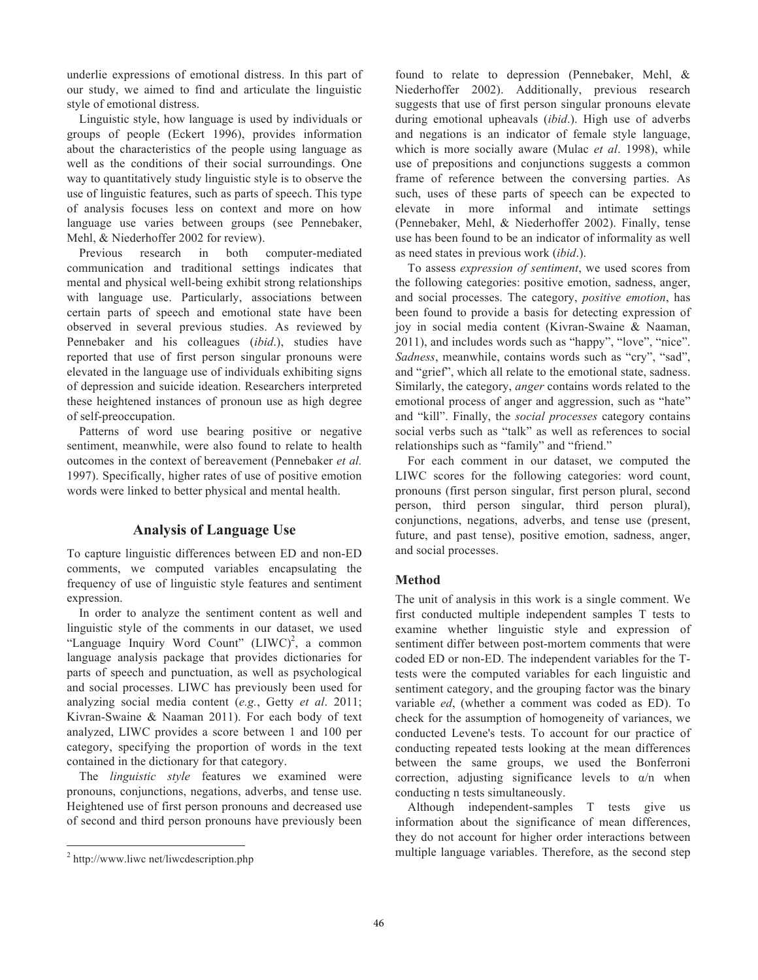underlie expressions of emotional distress. In this part of our study, we aimed to find and articulate the linguistic style of emotional distress.

Linguistic style, how language is used by individuals or groups of people (Eckert 1996), provides information about the characteristics of the people using language as well as the conditions of their social surroundings. One way to quantitatively study linguistic style is to observe the use of linguistic features, such as parts of speech. This type of analysis focuses less on context and more on how language use varies between groups (see Pennebaker, Mehl, & Niederhoffer 2002 for review).

Previous research in both computer-mediated communication and traditional settings indicates that mental and physical well-being exhibit strong relationships with language use. Particularly, associations between certain parts of speech and emotional state have been observed in several previous studies. As reviewed by Pennebaker and his colleagues (*ibid*.), studies have reported that use of first person singular pronouns were elevated in the language use of individuals exhibiting signs of depression and suicide ideation. Researchers interpreted these heightened instances of pronoun use as high degree of self-preoccupation.

Patterns of word use bearing positive or negative sentiment, meanwhile, were also found to relate to health outcomes in the context of bereavement (Pennebaker *et al.* 1997). Specifically, higher rates of use of positive emotion words were linked to better physical and mental health.

# **Analysis of Language Use**

To capture linguistic differences between ED and non-ED comments, we computed variables encapsulating the frequency of use of linguistic style features and sentiment expression.

In order to analyze the sentiment content as well and linguistic style of the comments in our dataset, we used "Language Inquiry Word Count" (LIWC)<sup>2</sup>, a common language analysis package that provides dictionaries for parts of speech and punctuation, as well as psychological and social processes. LIWC has previously been used for analyzing social media content (*e.g.*, Getty *et al*. 2011; Kivran-Swaine & Naaman 2011). For each body of text analyzed, LIWC provides a score between 1 and 100 per category, specifying the proportion of words in the text contained in the dictionary for that category.

The *linguistic style* features we examined were pronouns, conjunctions, negations, adverbs, and tense use. Heightened use of first person pronouns and decreased use of second and third person pronouns have previously been

 $\overline{a}$ 

found to relate to depression (Pennebaker, Mehl, & Niederhoffer 2002). Additionally, previous research suggests that use of first person singular pronouns elevate during emotional upheavals (*ibid*.). High use of adverbs and negations is an indicator of female style language, which is more socially aware (Mulac *et al*. 1998), while use of prepositions and conjunctions suggests a common frame of reference between the conversing parties. As such, uses of these parts of speech can be expected to elevate in more informal and intimate settings (Pennebaker, Mehl, & Niederhoffer 2002). Finally, tense use has been found to be an indicator of informality as well as need states in previous work (*ibid*.).

To assess *expression of sentiment*, we used scores from the following categories: positive emotion, sadness, anger, and social processes. The category, *positive emotion*, has been found to provide a basis for detecting expression of joy in social media content (Kivran-Swaine & Naaman, 2011), and includes words such as "happy", "love", "nice". *Sadness*, meanwhile, contains words such as "cry", "sad", and "grief", which all relate to the emotional state, sadness. Similarly, the category, *anger* contains words related to the emotional process of anger and aggression, such as "hate" and "kill". Finally, the *social processes* category contains social verbs such as "talk" as well as references to social relationships such as "family" and "friend."

For each comment in our dataset, we computed the LIWC scores for the following categories: word count, pronouns (first person singular, first person plural, second person, third person singular, third person plural), conjunctions, negations, adverbs, and tense use (present, future, and past tense), positive emotion, sadness, anger, and social processes.

#### **Method**

The unit of analysis in this work is a single comment. We first conducted multiple independent samples T tests to examine whether linguistic style and expression of sentiment differ between post-mortem comments that were coded ED or non-ED. The independent variables for the Ttests were the computed variables for each linguistic and sentiment category, and the grouping factor was the binary variable *ed*, (whether a comment was coded as ED). To check for the assumption of homogeneity of variances, we conducted Levene's tests. To account for our practice of conducting repeated tests looking at the mean differences between the same groups, we used the Bonferroni correction, adjusting significance levels to  $\alpha/n$  when conducting n tests simultaneously.

Although independent-samples T tests give us information about the significance of mean differences, they do not account for higher order interactions between multiple language variables. Therefore, as the second step

<sup>2</sup> http://www.liwc net/liwcdescription.php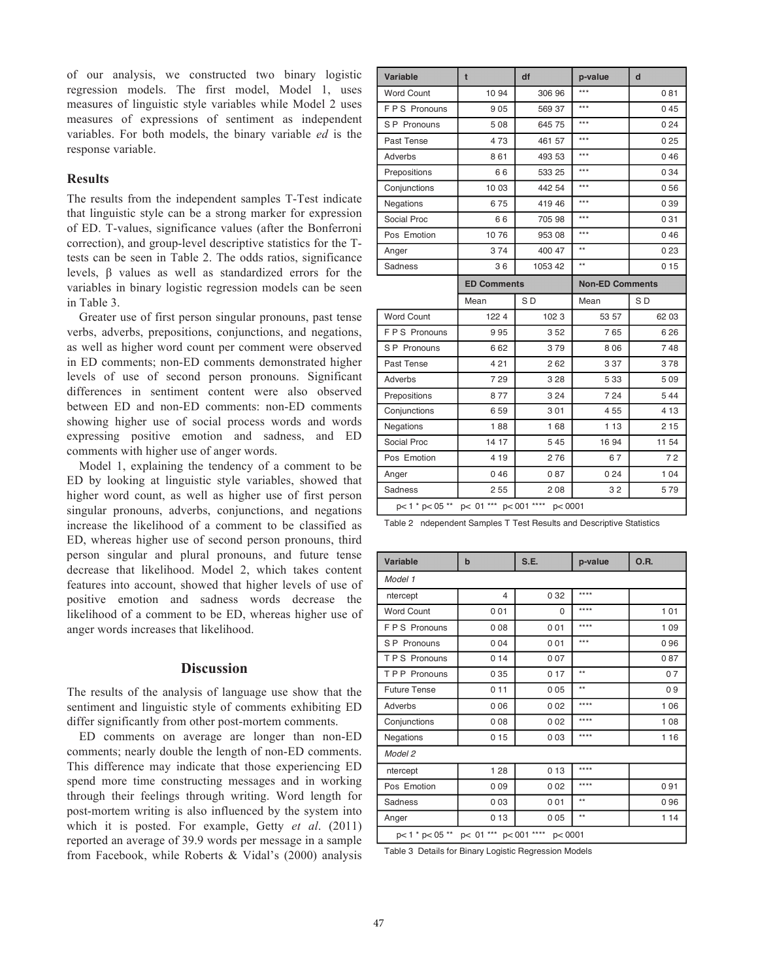of our analysis, we constructed two binary logistic regression models. The first model, Model 1, uses measures of linguistic style variables while Model 2 uses measures of expressions of sentiment as independent variables. For both models, the binary variable *ed* is the response variable.

## **Results**

The results from the independent samples T-Test indicate that linguistic style can be a strong marker for expression of ED. T-values, significance values (after the Bonferroni correction), and group-level descriptive statistics for the Ttests can be seen in Table 2. The odds ratios, significance levels, β values as well as standardized errors for the variables in binary logistic regression models can be seen in Table 3.

Greater use of first person singular pronouns, past tense verbs, adverbs, prepositions, conjunctions, and negations, as well as higher word count per comment were observed in ED comments; non-ED comments demonstrated higher levels of use of second person pronouns. Significant differences in sentiment content were also observed between ED and non-ED comments: non-ED comments showing higher use of social process words and words expressing positive emotion and sadness, and ED comments with higher use of anger words.

Model 1, explaining the tendency of a comment to be ED by looking at linguistic style variables, showed that higher word count, as well as higher use of first person singular pronouns, adverbs, conjunctions, and negations increase the likelihood of a comment to be classified as ED, whereas higher use of second person pronouns, third person singular and plural pronouns, and future tense decrease that likelihood. Model 2, which takes content features into account, showed that higher levels of use of positive emotion and sadness words decrease the likelihood of a comment to be ED, whereas higher use of anger words increases that likelihood.

#### **Discussion**

The results of the analysis of language use show that the sentiment and linguistic style of comments exhibiting ED differ significantly from other post-mortem comments.

ED comments on average are longer than non-ED comments; nearly double the length of non-ED comments. This difference may indicate that those experiencing ED spend more time constructing messages and in working through their feelings through writing. Word length for post-mortem writing is also influenced by the system into which it is posted. For example, Getty *et al*. (2011) reported an average of 39.9 words per message in a sample from Facebook, while Roberts & Vidal's (2000) analysis

| Variable          | t                  | df             | p-value                | $\mathbf d$    |
|-------------------|--------------------|----------------|------------------------|----------------|
| <b>Word Count</b> | 10 94              | 306 96         | ***                    | 081            |
| FPS Pronouns      | 905                | 569 37         | $***$                  | 045            |
| S P Pronouns      | 508                | 645 75         | ***                    | 024            |
| Past Tense        | 473                | 461 57         | ***                    | 025            |
| Adverbs           | 861                | 493 53         | ***                    | 046            |
| Prepositions      | 66                 | 533 25         | ***                    | 034            |
| Conjunctions      | 10 03              | 442 54         | $***$                  | 056            |
| Negations         | 675                | 419 46         | $***$                  | 039            |
| Social Proc       | 66                 | 705 98         | ***                    | 031            |
| Pos Emotion       | 1076               | 953 08         | ***                    | 046            |
| Anger             | 374                | 400 47         | $\star\star$           | 023            |
| Sadness           | 36                 | 1053 42        | $\star\star$           | 015            |
|                   | <b>ED Comments</b> |                | <b>Non-ED Comments</b> |                |
|                   |                    |                |                        |                |
|                   | Mean               | S <sub>D</sub> | Mean                   | S <sub>D</sub> |
| <b>Word Count</b> | 1224               | 1023           | 53 57                  | 62 03          |
| F P S Pronouns    | 995                | 352            | 765                    | 626            |
| S P Pronouns      | 662                | 379            | 806                    | 748            |
| Past Tense        | 421                | 262            | 337                    | 378            |
| Adverbs           | 729                | 3 2 8          | 5 3 3                  | 509            |
| Prepositions      | 877                | 3 2 4          | 724                    | 544            |
| Conjunctions      | 659                | 301            | 455                    | 4 1 3          |
| Negations         | 188                | 168            | 1 1 3                  | 2 1 5          |
| Social Proc       | 14 17              | 545            | 16 94                  | 11 54          |
| Pos Emotion       | 4 1 9              | 276            | 67                     | 72             |
| Anger             | 046                | 087            | 024                    | 104            |
| Sadness           | 255                | 208            | 32                     | 579            |

Table 2 ndependent Samples T Test Results and Descriptive Statistics

| <b>Variable</b>                                         | $\mathbf b$             | S.E.     | p-value      | O.R.  |  |  |
|---------------------------------------------------------|-------------------------|----------|--------------|-------|--|--|
| Model 1                                                 |                         |          |              |       |  |  |
| ntercept                                                | $\overline{\mathbf{4}}$ | 032      | ****         |       |  |  |
| <b>Word Count</b>                                       | 001                     | $\Omega$ | ****         | 101   |  |  |
| FPS Pronouns                                            | 008                     | 001      | ****         | 109   |  |  |
| S P Pronouns                                            | 004                     | 001      | ***          | 096   |  |  |
| <b>TPS Pronouns</b>                                     | 014                     | 007      |              | 087   |  |  |
| <b>TPP</b> Pronouns                                     | 035                     | 017      | $\star\star$ | 07    |  |  |
| <b>Future Tense</b>                                     | 011                     | 005      | $**$         | 09    |  |  |
| Adverbs                                                 | 006                     | 002      | ****         | 106   |  |  |
| Conjunctions                                            | 008                     | 002      | ****         | 108   |  |  |
| <b>Negations</b>                                        | 015                     | 003      | ****         | 116   |  |  |
| Model 2                                                 |                         |          |              |       |  |  |
| ntercept                                                | 128                     | 013      | ****         |       |  |  |
| Pos Emotion                                             | 009                     | 002      | ****         | 091   |  |  |
| Sadness                                                 | 003                     | 001      | $\star\star$ | 096   |  |  |
| Anger                                                   | 013                     | 005      | $**$         | 1 1 4 |  |  |
| p< 01 ***<br>****<br>p< 1 * p< 05 **<br>p<001<br>p<0001 |                         |          |              |       |  |  |

Table 3 Details for Binary Logistic Regression Models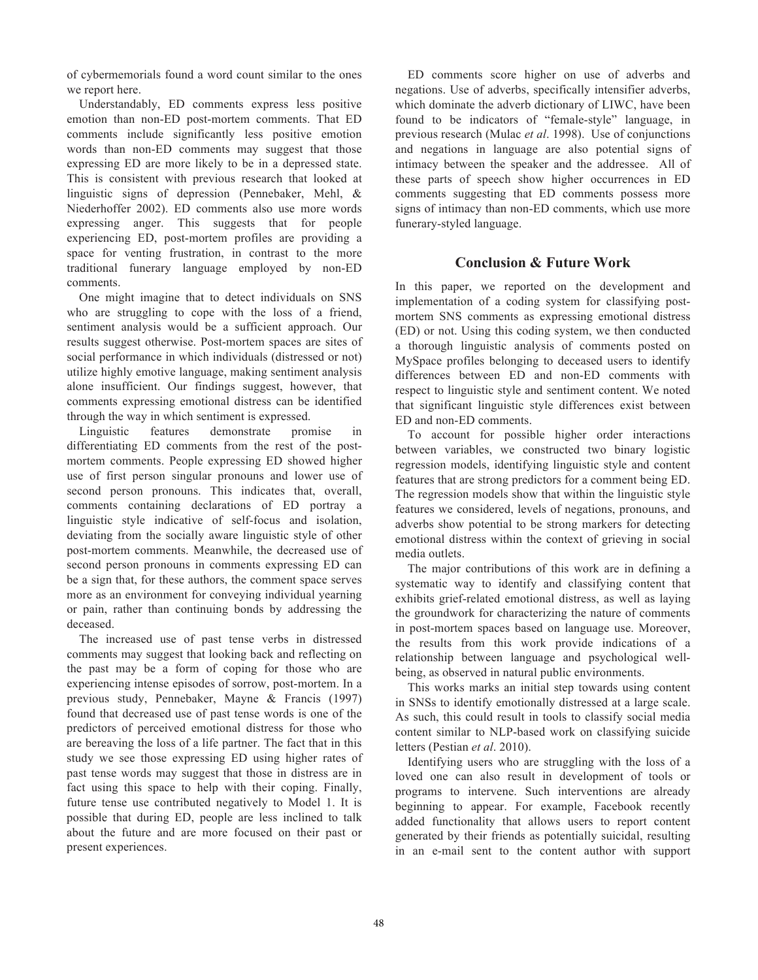of cybermemorials found a word count similar to the ones we report here.

Understandably, ED comments express less positive emotion than non-ED post-mortem comments. That ED comments include significantly less positive emotion words than non-ED comments may suggest that those expressing ED are more likely to be in a depressed state. This is consistent with previous research that looked at linguistic signs of depression (Pennebaker, Mehl, & Niederhoffer 2002). ED comments also use more words expressing anger. This suggests that for people experiencing ED, post-mortem profiles are providing a space for venting frustration, in contrast to the more traditional funerary language employed by non-ED comments.

One might imagine that to detect individuals on SNS who are struggling to cope with the loss of a friend, sentiment analysis would be a sufficient approach. Our results suggest otherwise. Post-mortem spaces are sites of social performance in which individuals (distressed or not) utilize highly emotive language, making sentiment analysis alone insufficient. Our findings suggest, however, that comments expressing emotional distress can be identified through the way in which sentiment is expressed.

Linguistic features demonstrate promise in differentiating ED comments from the rest of the postmortem comments. People expressing ED showed higher use of first person singular pronouns and lower use of second person pronouns. This indicates that, overall, comments containing declarations of ED portray a linguistic style indicative of self-focus and isolation, deviating from the socially aware linguistic style of other post-mortem comments. Meanwhile, the decreased use of second person pronouns in comments expressing ED can be a sign that, for these authors, the comment space serves more as an environment for conveying individual yearning or pain, rather than continuing bonds by addressing the deceased.

The increased use of past tense verbs in distressed comments may suggest that looking back and reflecting on the past may be a form of coping for those who are experiencing intense episodes of sorrow, post-mortem. In a previous study, Pennebaker, Mayne & Francis (1997) found that decreased use of past tense words is one of the predictors of perceived emotional distress for those who are bereaving the loss of a life partner. The fact that in this study we see those expressing ED using higher rates of past tense words may suggest that those in distress are in fact using this space to help with their coping. Finally, future tense use contributed negatively to Model 1. It is possible that during ED, people are less inclined to talk about the future and are more focused on their past or present experiences.

ED comments score higher on use of adverbs and negations. Use of adverbs, specifically intensifier adverbs, which dominate the adverb dictionary of LIWC, have been found to be indicators of "female-style" language, in previous research (Mulac *et al*. 1998). Use of conjunctions and negations in language are also potential signs of intimacy between the speaker and the addressee. All of these parts of speech show higher occurrences in ED comments suggesting that ED comments possess more signs of intimacy than non-ED comments, which use more funerary-styled language.

# **Conclusion & Future Work**

In this paper, we reported on the development and implementation of a coding system for classifying postmortem SNS comments as expressing emotional distress (ED) or not. Using this coding system, we then conducted a thorough linguistic analysis of comments posted on MySpace profiles belonging to deceased users to identify differences between ED and non-ED comments with respect to linguistic style and sentiment content. We noted that significant linguistic style differences exist between ED and non-ED comments.

To account for possible higher order interactions between variables, we constructed two binary logistic regression models, identifying linguistic style and content features that are strong predictors for a comment being ED. The regression models show that within the linguistic style features we considered, levels of negations, pronouns, and adverbs show potential to be strong markers for detecting emotional distress within the context of grieving in social media outlets.

The major contributions of this work are in defining a systematic way to identify and classifying content that exhibits grief-related emotional distress, as well as laying the groundwork for characterizing the nature of comments in post-mortem spaces based on language use. Moreover, the results from this work provide indications of a relationship between language and psychological wellbeing, as observed in natural public environments.

This works marks an initial step towards using content in SNSs to identify emotionally distressed at a large scale. As such, this could result in tools to classify social media content similar to NLP-based work on classifying suicide letters (Pestian *et al*. 2010).

Identifying users who are struggling with the loss of a loved one can also result in development of tools or programs to intervene. Such interventions are already beginning to appear. For example, Facebook recently added functionality that allows users to report content generated by their friends as potentially suicidal, resulting in an e-mail sent to the content author with support